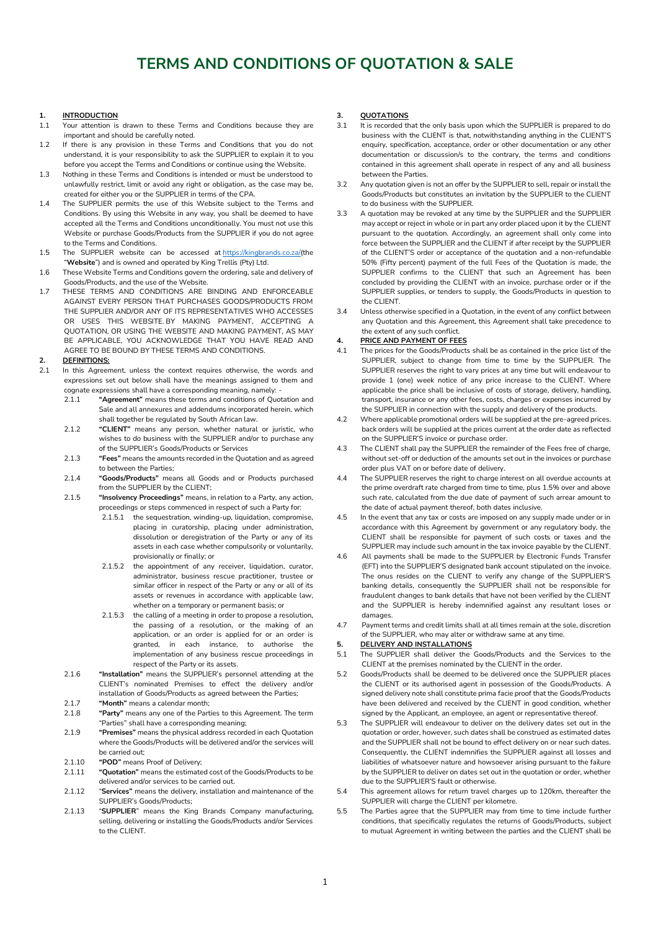# **TERMS AND CONDITIONS OF QUOTATION & SALE**

# **1. INTRODUCTION**

- 1.1 Your attention is drawn to these Terms and Conditions because they are important and should be carefully noted.
- 1.2 If there is any provision in these Terms and Conditions that you do not understand, it is your responsibility to ask the SUPPLIER to explain it to you before you accept the Terms and Conditions or continue using the Website.
- 1.3 Nothing in these Terms and Conditions is intended or must be understood to unlawfully restrict, limit or avoid any right or obligation, as the case may be, created for either you or the SUPPLIER in terms of the CPA.
- 1.4 The SUPPLIER permits the use of this Website subject to the Terms and Conditions. By using this Website in any way, you shall be deemed to have accepted all the Terms and Conditions unconditionally. You must not use this Website or purchase Goods/Products from the SUPPLIER if you do not agree to the Terms and Conditions.
- 1.5 The SUPPLIER website can be accessed at [https://kingbrands.co.za/\(](https://kingbrands.co.za/)the "**Website**") and is owned and operated by King Trellis (Pty) Ltd.
- 1.6 These Website Terms and Conditions govern the ordering, sale and delivery of Goods/Products, and the use of the Website.
- 1.7 THESE TERMS AND CONDITIONS ARE BINDING AND ENFORCEABLE AGAINST EVERY PERSON THAT PURCHASES GOODS/PRODUCTS FROM THE SUPPLIER AND/OR ANY OF ITS REPRESENTATIVES WHO ACCESSES OR USES THIS WEBSITE BY MAKING PAYMENT ACCEPTING A QUOTATION, OR USING THE WEBSITE AND MAKING PAYMENT, AS MAY BE APPLICABLE, YOU ACKNOWLEDGE THAT YOU HAVE READ AND AGREE TO BE BOUND BY THESE TERMS AND CONDITIONS.

# 2. **<u>DEFINITIONS:</u>**<br>2.1 In this Agreen

- In this Agreement, unless the context requires otherwise, the words and expressions set out below shall have the meanings assigned to them and cognate expressions shall have a corresponding meaning, namely:
	- 2.1.1 **"Agreement"** means these terms and conditions of Quotation and Sale and all annexures and addendums incorporated herein, which shall together be regulated by South African law.
	- 2.1.2 **"CLIENT"** means any person, whether natural or juristic, who wishes to do business with the SUPPLIER and/or to purchase any of the SUPPLIER's Goods/Products or Services
	- 2.1.3 **"Fees"** means the amounts recorded in the Quotation and as agreed to between the Parties;
	- 2.1.4 **"Goods/Products"** means all Goods and or Products purchased from the SUPPLIER by the CLIENT;
	- 2.1.5 **"Insolvency Proceedings"** means, in relation to a Party, any action, proceedings or steps commenced in respect of such a Party for:
		- 2.1.5.1 the sequestration, winding-up, liquidation, compromise, placing in curatorship, placing under administration, dissolution or deregistration of the Party or any of its assets in each case whether compulsorily or voluntarily, provisionally or finally; or
		- 2.1.5.2 the appointment of any receiver, liquidation, curator, administrator, business rescue practitioner, trustee or similar officer in respect of the Party or any or all of its assets or revenues in accordance with applicable law, whether on a temporary or permanent basis; or
		- 2.1.5.3 the calling of a meeting in order to propose a resolution, the passing of a resolution, or the making of an application, or an order is applied for or an order is granted, in each instance, to authorise the implementation of any business rescue proceedings in respect of the Party or its assets.
	- 2.1.6 **"Installation"** means the SUPPLIER's personnel attending at the CLIENT's nominated Premises to effect the delivery and/or installation of Goods/Products as agreed between the Parties;
	- 2.1.7 **"Month"** means a calendar month;
	- 2.1.8 **"Party"** means any one of the Parties to this Agreement. The term "Parties" shall have a corresponding meaning;
	- 2.1.9 **"Premises"** means the physical address recorded in each Quotation where the Goods/Products will be delivered and/or the services will be carried out;
	- 2.1.10 **"POD"** means Proof of Delivery;
	- 2.1.11 **"Quotation"** means the estimated cost of the Goods/Products to be delivered and/or services to be carried out.
	- 2.1.12 "**Services"** means the delivery, installation and maintenance of the SUPPLIER's Goods/Products;
	- 2.1.13 "**SUPPLIER**" means the King Brands Company manufacturing, selling, delivering or installing the Goods/Products and/or Services to the CLIENT.

# **3. QUOTATIONS**

- 3.1 It is recorded that the only basis upon which the SUPPLIER is prepared to do business with the CLIENT is that, notwithstanding anything in the CLIENT'S enquiry, specification, acceptance, order or other documentation or any other documentation or discussion/s to the contrary, the terms and conditions contained in this agreement shall operate in respect of any and all business between the Parties.
- 3.2 Any quotation given is not an offer by the SUPPLIER to sell, repair or install the Goods/Products but constitutes an invitation by the SUPPLIER to the CLIENT to do business with the SUPPLIER.
- 3.3 A quotation may be revoked at any time by the SUPPLIER and the SUPPLIER may accept or reject in whole or in part any order placed upon it by the CLIENT pursuant to the quotation. Accordingly, an agreement shall only come into force between the SUPPLIER and the CLIENT if after receipt by the SUPPLIER of the CLIENT'S order or acceptance of the quotation and a non-refundable 50% (Fifty percent) payment of the full Fees of the Quotation is made, the SUPPLIER confirms to the CLIENT that such an Agreement has been concluded by providing the CLIENT with an invoice, purchase order or if the SUPPLIER supplies, or tenders to supply, the Goods/Products in question to the CLIENT.
- 3.4 Unless otherwise specified in a Quotation, in the event of any conflict between any Quotation and this Agreement, this Agreement shall take precedence to the extent of any such conflict.

## **4. PRICE AND PAYMENT OF FEES**

- 4.1 The prices for the Goods/Products shall be as contained in the price list of the SUPPLIER, subject to change from time to time by the SUPPLIER. The SUPPLIER reserves the right to vary prices at any time but will endeavour to provide 1 (one) week notice of any price increase to the CLIENT. Where applicable the price shall be inclusive of costs of storage, delivery, handling, transport, insurance or any other fees, costs, charges or expenses incurred by the SUPPLIER in connection with the supply and delivery of the products.
- 4.2 Where applicable promotional orders will be supplied at the pre-agreed prices. back orders will be supplied at the prices current at the order date as reflected on the SUPPLIER'S invoice or purchase order.
- 4.3 The CLIENT shall pay the SUPPLIER the remainder of the Fees free of charge, without set-off or deduction of the amounts set out in the invoices or purchase order plus VAT on or before date of delivery.
- 4.4 The SUPPLIER reserves the right to charge interest on all overdue accounts at the prime overdraft rate charged from time to time, plus 1.5% over and above such rate, calculated from the due date of payment of such arrear amount to the date of actual payment thereof, both dates inclusive.
- 4.5 In the event that any tax or costs are imposed on any supply made under or in accordance with this Agreement by government or any regulatory body, the CLIENT shall be responsible for payment of such costs or taxes and the SUPPLIER may include such amount in the tax invoice payable by the CLIENT.
- 4.6 All payments shall be made to the SUPPLIER by Electronic Funds Transfer (EFT) into the SUPPLIER'S designated bank account stipulated on the invoice. The onus resides on the CLIENT to verify any change of the SUPPLIER'S banking details, consequently the SUPPLIER shall not be responsible for fraudulent changes to bank details that have not been verified by the CLIENT and the SUPPLIER is hereby indemnified against any resultant loses or damages.
- 4.7 Payment terms and credit limits shall at all times remain at the sole, discretion of the SUPPLIER, who may alter or withdraw same at any time.

# **5. DELIVERY AND INSTALLATIONS**

- 5.1 The SUPPLIER shall deliver the Goods/Products and the Services to the CLIENT at the premises nominated by the CLIENT in the order.
- 5.2 Goods/Products shall be deemed to be delivered once the SUPPLIER places the CLIENT or its authorised agent in possession of the Goods/Products. A signed delivery note shall constitute prima facie proof that the Goods/Products have been delivered and received by the CLIENT in good condition, whether signed by the Applicant, an employee, an agent or representative thereof.
- 5.3 The SUPPLIER will endeavour to deliver on the delivery dates set out in the quotation or order, however, such dates shall be construed as estimated dates and the SUPPLIER shall not be bound to effect delivery on or near such dates. Consequently, the CLIENT indemnifies the SUPPLIER against all losses and liabilities of whatsoever nature and howsoever arising pursuant to the failure by the SUPPLIER to deliver on dates set out in the quotation or order, whether due to the SUPPLIER'S fault or otherwise.
- 5.4 This agreement allows for return travel charges up to 120km, thereafter the SUPPLIER will charge the CLIENT per kilometre.
- 5.5 The Parties agree that the SUPPLIER may from time to time include further conditions, that specifically regulates the returns of Goods/Products, subject to mutual Agreement in writing between the parties and the CLIENT shall be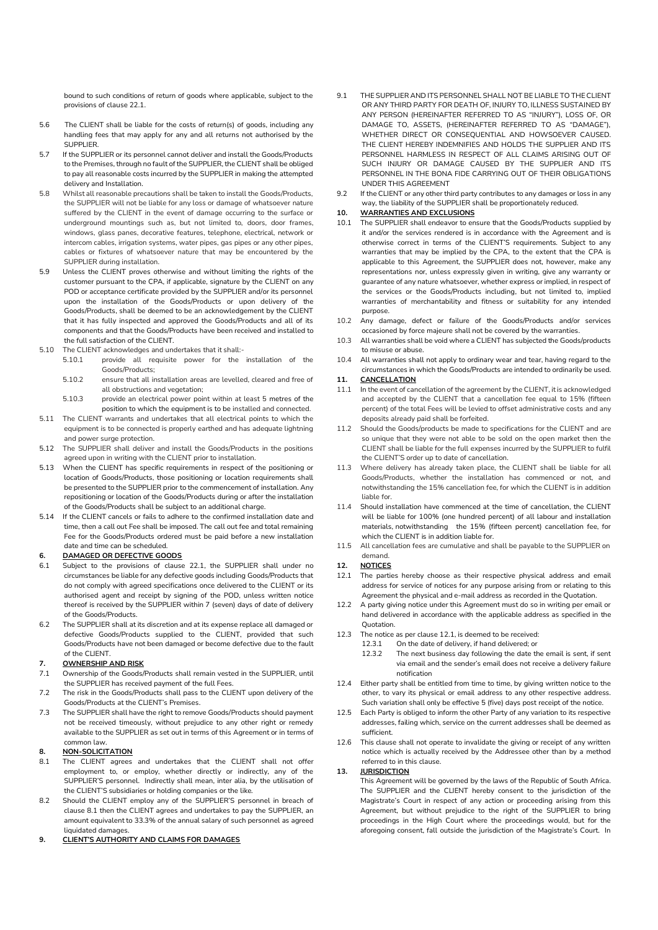bound to such conditions of return of goods where applicable, subject to the provisions of clause 22.1.

- 5.6 The CLIENT shall be liable for the costs of return(s) of goods, including any handling fees that may apply for any and all returns not authorised by the SUPPLIER.
- 5.7 If the SUPPLIER or its personnel cannot deliver and install the Goods/Products to the Premises, through no fault of the SUPPLIER, the CLIENT shall be obliged to pay all reasonable costs incurred by the SUPPLIER in making the attempted delivery and Installation.
- 5.8 Whilst all reasonable precautions shall be taken to install the Goods/Products, the SUPPLIER will not be liable for any loss or damage of whatsoever nature suffered by the CLIENT in the event of damage occurring to the surface or underground mountings such as, but not limited to, doors, door frames, windows, glass panes, decorative features, telephone, electrical, network or intercom cables, irrigation systems, water pipes, gas pipes or any other pipes, cables or fixtures of whatsoever nature that may be encountered by the SUPPLIER during installation.
- 5.9 Unless the CLIENT proves otherwise and without limiting the rights of the customer pursuant to the CPA, if applicable, signature by the CLIENT on any POD or acceptance certificate provided by the SUPPLIER and/or its personnel upon the installation of the Goods/Products or upon delivery of the Goods/Products, shall be deemed to be an acknowledgement by the CLIENT that it has fully inspected and approved the Goods/Products and all of its components and that the Goods/Products have been received and installed to the full satisfaction of the CLIENT.
- 5.10 The CLIENT acknowledges and undertakes that it shall:-
	- 5.10.1 provide all requisite power for the installation of the Goods/Products;
	- 5.10.2 ensure that all installation areas are levelled, cleared and free of all obstructions and vegetation;
	- 5.10.3 provide an electrical power point within at least 5 metres of the position to which the equipment is to be installed and connected.
- 5.11 The CLIENT warrants and undertakes that all electrical points to which the equipment is to be connected is properly earthed and has adequate lightning and power surge protection.
- 5.12 The SUPPLIER shall deliver and install the Goods/Products in the positions agreed upon in writing with the CLIENT prior to installation.
- 5.13 When the CLIENT has specific requirements in respect of the positioning or location of Goods/Products, those positioning or location requirements shall be presented to the SUPPLIER prior to the commencement of installation. Any repositioning or location of the Goods/Products during or after the installation of the Goods/Products shall be subject to an additional charge.
- 5.14 If the CLIENT cancels or fails to adhere to the confirmed installation date and time, then a call out Fee shall be imposed. The call out fee and total remaining Fee for the Goods/Products ordered must be paid before a new installation date and time can be scheduled.

## **6. DAMAGED OR DEFECTIVE GOODS**

- 6.1 Subject to the provisions of clause 22.1, the SUPPLIER shall under no circumstances be liable for any defective goods including Goods/Products that do not comply with agreed specifications once delivered to the CLIENT or its authorised agent and receipt by signing of the POD, unless written notice thereof is received by the SUPPLIER within 7 (seven) days of date of delivery of the Goods/Products.
- 6.2 The SUPPLIER shall at its discretion and at its expense replace all damaged or defective Goods/Products supplied to the CLIENT, provided that such Goods/Products have not been damaged or become defective due to the fault of the CLIENT.

# **7. OWNERSHIP AND RISK**

- 7.1 Ownership of the Goods/Products shall remain vested in the SUPPLIER, until the SUPPLIER has received payment of the full Fees.
- 7.2 The risk in the Goods/Products shall pass to the CLIENT upon delivery of the Goods/Products at the CLIENT's Premises.
- 7.3 The SUPPLIER shall have the right to remove Goods/Products should payment not be received timeously, without prejudice to any other right or remedy available to the SUPPLIER as set out in terms of this Agreement or in terms of common law.

#### **8. NON-SOLICITATION**

- 8.1 The CLIENT agrees and undertakes that the CLIENT shall not offer employment to, or employ, whether directly or indirectly, any of the SUPPLIER'S personnel. Indirectly shall mean, inter alia, by the utilisation of the CLIENT'S subsidiaries or holding companies or the like.
- 8.2 Should the CLIENT employ any of the SUPPLIER'S personnel in breach of clause 8.1 then the CLIENT agrees and undertakes to pay the SUPPLIER, an amount equivalent to 33.3% of the annual salary of such personnel as agreed liquidated damages.

**9. CLIENT'S AUTHORITY AND CLAIMS FOR DAMAGES**

- 9.1 THE SUPPLIER AND ITS PERSONNEL SHALL NOT BE LIABLE TO THE CLIENT OR ANY THIRD PARTY FOR DEATH OF, INJURY TO, ILLNESS SUSTAINED BY ANY PERSON (HEREINAFTER REFERRED TO AS "INJURY"), LOSS OF, OR DAMAGE TO, ASSETS, (HEREINAFTER REFERRED TO AS "DAMAGE"), WHETHER DIRECT OR CONSEQUENTIAL AND HOWSOEVER CAUSED. THE CLIENT HEREBY INDEMNIFIES AND HOLDS THE SUPPLIER AND ITS PERSONNEL HARMLESS IN RESPECT OF ALL CLAIMS ARISING OUT OF SUCH INJURY OR DAMAGE CAUSED BY THE SUPPLIER AND ITS PERSONNEL IN THE BONA FIDE CARRYING OUT OF THEIR OBLIGATIONS UNDER THIS AGREEMENT
- 9.2 If the CLIENT or any other third party contributes to any damages or loss in any way, the liability of the SUPPLIER shall be proportionately reduced.

# **10. WARRANTIES AND EXCLUSIONS**

- 10.1 The SUPPLIER shall endeavor to ensure that the Goods/Products supplied by it and/or the services rendered is in accordance with the Agreement and is otherwise correct in terms of the CLIENT'S requirements. Subject to any warranties that may be implied by the CPA, to the extent that the CPA is applicable to this Agreement, the SUPPLIER does not, however, make any representations nor, unless expressly given in writing, give any warranty or guarantee of any nature whatsoever, whether express or implied, in respect of the services or the Goods/Products including, but not limited to, implied warranties of merchantability and fitness or suitability for any intended purpose.
- 10.2 Any damage, defect or failure of the Goods/Products and/or services occasioned by force majeure shall not be covered by the warranties.
- 10.3 All warranties shall be void where a CLIENT has subjected the Goods/products to misuse or abuse.
- 10.4 All warranties shall not apply to ordinary wear and tear, having regard to the circumstances in which the Goods/Products are intended to ordinarily be used.

### **11. CANCELLATION**

- 11.1 In the event of cancellation of the agreement by the CLIENT, it is acknowledged and accepted by the CLIENT that a cancellation fee equal to 15% (fifteen percent) of the total Fees will be levied to offset administrative costs and any deposits already paid shall be forfeited.
- 11.2 Should the Goods/products be made to specifications for the CLIENT and are so unique that they were not able to be sold on the open market then the CLIENT shall be liable for the full expenses incurred by the SUPPLIER to fulfil the CLIENT'S order up to date of cancellation.
- 11.3 Where delivery has already taken place, the CLIENT shall be liable for all Goods/Products, whether the installation has commenced or not, and notwithstanding the 15% cancellation fee, for which the CLIENT is in addition liable for.
- 11.4 Should installation have commenced at the time of cancellation, the CLIENT will be liable for 100% (one hundred percent) of all labour and installation materials, notwithstanding the 15% (fifteen percent) cancellation fee, for which the CLIENT is in addition liable for.
- 11.5 All cancellation fees are cumulative and shall be payable to the SUPPLIER on demand.

## **12. NOTICES**

- 12.1 The parties hereby choose as their respective physical address and email address for service of notices for any purpose arising from or relating to this Agreement the physical and e-mail address as recorded in the Quotation.
- 12.2 A party giving notice under this Agreement must do so in writing per email or hand delivered in accordance with the applicable address as specified in the Quotation.
- 12.3 The notice as per clause 12.1, is deemed to be received:
	- 12.3.1 On the date of delivery, if hand delivered; or
	- 12.3.2 The next business day following the date the email is sent, if sent via email and the sender's email does not receive a delivery failure notification
- 12.4 Either party shall be entitled from time to time, by giving written notice to the other, to vary its physical or email address to any other respective address. Such variation shall only be effective 5 (five) days post receipt of the notice.
- 12.5 Each Party is obliged to inform the other Party of any variation to its respective addresses, failing which, service on the current addresses shall be deemed as sufficient.
- 12.6 This clause shall not operate to invalidate the giving or receipt of any written notice which is actually received by the Addressee other than by a method referred to in this clause.

#### **13. JURISDICTION**

This Agreement will be governed by the laws of the Republic of South Africa. The SUPPLIER and the CLIENT hereby consent to the jurisdiction of the Magistrate's Court in respect of any action or proceeding arising from this Agreement, but without prejudice to the right of the SUPPLIER to bring proceedings in the High Court where the proceedings would, but for the aforegoing consent, fall outside the jurisdiction of the Magistrate's Court. In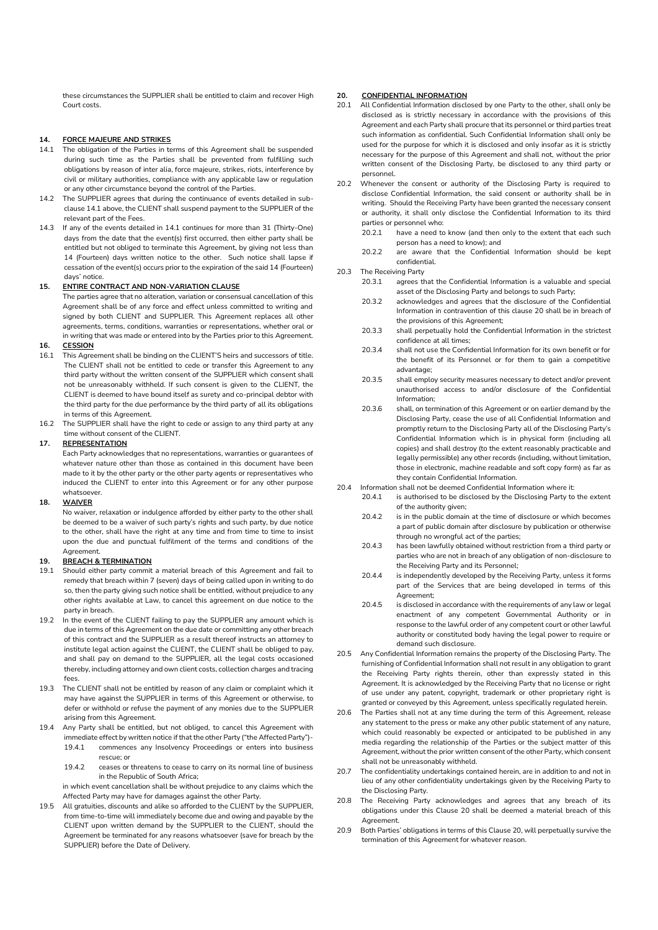these circumstances the SUPPLIER shall be entitled to claim and recover High Court costs.

# **14. FORCE MAJEURE AND STRIKES**

- 14.1 The obligation of the Parties in terms of this Agreement shall be suspended during such time as the Parties shall be prevented from fulfilling such obligations by reason of inter alia, force majeure, strikes, riots, interference by civil or military authorities, compliance with any applicable law or regulation or any other circumstance beyond the control of the Parties.
- 14.2 The SUPPLIER agrees that during the continuance of events detailed in subclause 14.1 above, the CLIENT shall suspend payment to the SUPPLIER of the relevant part of the Fees.
- 14.3 If any of the events detailed in 14.1 continues for more than 31 (Thirty-One) days from the date that the event(s) first occurred, then either party shall be entitled but not obliged to terminate this Agreement, by giving not less than 14 (Fourteen) days written notice to the other. Such notice shall lapse if cessation of the event(s) occurs prior to the expiration of the said 14 (Fourteen) days' notice.

#### **15. ENTIRE CONTRACT AND NON-VARIATION CLAUSE**

The parties agree that no alteration, variation or consensual cancellation of this Agreement shall be of any force and effect unless committed to writing and signed by both CLIENT and SUPPLIER. This Agreement replaces all other agreements, terms, conditions, warranties or representations, whether oral or in writing that was made or entered into by the Parties prior to this Agreement.

### **16. CESSION**

- 16.1 This Agreement shall be binding on the CLIENT'S heirs and successors of title. The CLIENT shall not be entitled to cede or transfer this Agreement to any third party without the written consent of the SUPPLIER which consent shall not be unreasonably withheld. If such consent is given to the CLIENT, the CLIENT is deemed to have bound itself as surety and co-principal debtor with the third party for the due performance by the third party of all its obligations in terms of this Agreement.
- 16.2 The SUPPLIER shall have the right to cede or assign to any third party at any time without consent of the CLIENT.

## **17. REPRESENTATION**

Each Party acknowledges that no representations, warranties or guarantees of whatever nature other than those as contained in this document have been made to it by the other party or the other party agents or representatives who induced the CLIENT to enter into this Agreement or for any other purpose whatsoever.

# **18. WAIVER**

No waiver, relaxation or indulgence afforded by either party to the other shall be deemed to be a waiver of such party's rights and such party, by due notice to the other, shall have the right at any time and from time to time to insist upon the due and punctual fulfilment of the terms and conditions of the Agreement.

# **19. BREACH & TERMINATION**

- 19.1 Should either party commit a material breach of this Agreement and fail to remedy that breach within 7 (seven) days of being called upon in writing to do so, then the party giving such notice shall be entitled, without prejudice to any other rights available at Law, to cancel this agreement on due notice to the party in breach.
- 19.2 In the event of the CLIENT failing to pay the SUPPLIER any amount which is due in terms of this Agreement on the due date or committing any other breach of this contract and the SUPPLIER as a result thereof instructs an attorney to institute legal action against the CLIENT, the CLIENT shall be obliged to pay, and shall pay on demand to the SUPPLIER, all the legal costs occasioned thereby, including attorney and own client costs, collection charges and tracing fees.
- 19.3 The CLIENT shall not be entitled by reason of any claim or complaint which it may have against the SUPPLIER in terms of this Agreement or otherwise, to defer or withhold or refuse the payment of any monies due to the SUPPLIER arising from this Agreement.
- 19.4 Any Party shall be entitled, but not obliged, to cancel this Agreement with immediate effect by written notice if that the other Party ("the Affected Party")- 19.4.1 commences any Insolvency Proceedings or enters into business rescue; or
	- 19.4.2 ceases or threatens to cease to carry on its normal line of business in the Republic of South Africa;

in which event cancellation shall be without prejudice to any claims which the Affected Party may have for damages against the other Party.

19.5 All gratuities, discounts and alike so afforded to the CLIENT by the SUPPLIER, from time-to-time will immediately become due and owing and payable by the CLIENT upon written demand by the SUPPLIER to the CLIENT, should the Agreement be terminated for any reasons whatsoever (save for breach by the SUPPLIER) before the Date of Delivery.

#### **20. CONFIDENTIAL INFORMATION**

- 20.1 All Confidential Information disclosed by one Party to the other, shall only be disclosed as is strictly necessary in accordance with the provisions of this Agreement and each Party shall procure that its personnel or third parties treat such information as confidential. Such Confidential Information shall only be used for the purpose for which it is disclosed and only insofar as it is strictly necessary for the purpose of this Agreement and shall not, without the prior written consent of the Disclosing Party, be disclosed to any third party or personnel.
- 20.2 Whenever the consent or authority of the Disclosing Party is required to disclose Confidential Information, the said consent or authority shall be in writing. Should the Receiving Party have been granted the necessary consent or authority, it shall only disclose the Confidential Information to its third parties or personnel who:
	- 20.2.1 have a need to know (and then only to the extent that each such person has a need to know); and
	- 20.2.2 are aware that the Confidential Information should be kept confidential.
- 20.3 The Receiving Party
	- 20.3.1 agrees that the Confidential Information is a valuable and special asset of the Disclosing Party and belongs to such Party;
	- 20.3.2 acknowledges and agrees that the disclosure of the Confidential Information in contravention of this clause 20 shall be in breach of the provisions of this Agreement;
	- 20.3.3 shall perpetually hold the Confidential Information in the strictest confidence at all times;
	- 20.3.4 shall not use the Confidential Information for its own benefit or for the benefit of its Personnel or for them to gain a competitive advantage;
	- 20.3.5 shall employ security measures necessary to detect and/or prevent unauthorised access to and/or disclosure of the Confidential Information;
	- 20.3.6 shall, on termination of this Agreement or on earlier demand by the Disclosing Party, cease the use of all Confidential Information and promptly return to the Disclosing Party all of the Disclosing Party's Confidential Information which is in physical form (including all copies) and shall destroy (to the extent reasonably practicable and legally permissible) any other records (including, without limitation, those in electronic, machine readable and soft copy form) as far as they contain Confidential Information.
- 20.4 Information shall not be deemed Confidential Information where it:
	- 20.4.1 is authorised to be disclosed by the Disclosing Party to the extent of the authority given;
	- 20.4.2 is in the public domain at the time of disclosure or which becomes a part of public domain after disclosure by publication or otherwise through no wrongful act of the parties;
	- 20.4.3 has been lawfully obtained without restriction from a third party or parties who are not in breach of any obligation of non-disclosure to the Receiving Party and its Personnel;
	- 20.4.4 is independently developed by the Receiving Party, unless it forms part of the Services that are being developed in terms of this Agreement;
	- 20.4.5 is disclosed in accordance with the requirements of any law or legal enactment of any competent Governmental Authority or in response to the lawful order of any competent court or other lawful authority or constituted body having the legal power to require or demand such disclosure.
- 20.5 Any Confidential Information remains the property of the Disclosing Party. The furnishing of Confidential Information shall not result in any obligation to grant the Receiving Party rights therein, other than expressly stated in this Agreement. It is acknowledged by the Receiving Party that no license or right of use under any patent, copyright, trademark or other proprietary right is granted or conveyed by this Agreement, unless specifically regulated herein.
- The Parties shall not at any time during the term of this Agreement, release any statement to the press or make any other public statement of any nature, which could reasonably be expected or anticipated to be published in any media regarding the relationship of the Parties or the subject matter of this Agreement, without the prior written consent of the other Party, which consent shall not be unreasonably withheld.
- 20.7 The confidentiality undertakings contained herein, are in addition to and not in lieu of any other confidentiality undertakings given by the Receiving Party to the Disclosing Party.
- 20.8 The Receiving Party acknowledges and agrees that any breach of its obligations under this Clause 20 shall be deemed a material breach of this Agreement.
- 20.9 Both Parties' obligations in terms of this Clause 20, will perpetually survive the termination of this Agreement for whatever reason.